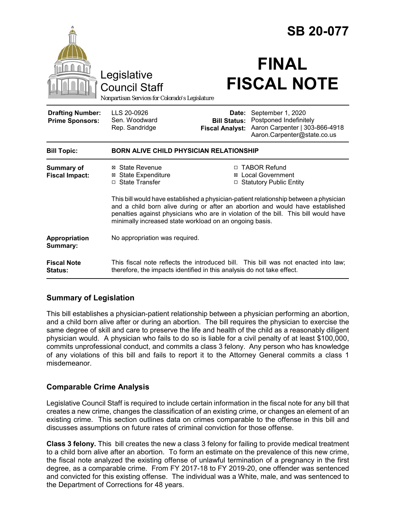|                                                   |                                                                                                                                                                                                                                                                                                                          | <b>SB 20-077</b>                                       |                                                                                                              |
|---------------------------------------------------|--------------------------------------------------------------------------------------------------------------------------------------------------------------------------------------------------------------------------------------------------------------------------------------------------------------------------|--------------------------------------------------------|--------------------------------------------------------------------------------------------------------------|
|                                                   | Legislative<br><b>Council Staff</b><br>Nonpartisan Services for Colorado's Legislature                                                                                                                                                                                                                                   |                                                        | <b>FINAL</b><br><b>FISCAL NOTE</b>                                                                           |
| <b>Drafting Number:</b><br><b>Prime Sponsors:</b> | LLS 20-0926<br>Sen. Woodward<br>Rep. Sandridge                                                                                                                                                                                                                                                                           | Date:<br><b>Bill Status:</b><br><b>Fiscal Analyst:</b> | September 1, 2020<br>Postponed Indefinitely<br>Aaron Carpenter   303-866-4918<br>Aaron.Carpenter@state.co.us |
| <b>Bill Topic:</b>                                | <b>BORN ALIVE CHILD PHYSICIAN RELATIONSHIP</b>                                                                                                                                                                                                                                                                           |                                                        |                                                                                                              |
| <b>Summary of</b><br><b>Fiscal Impact:</b>        | ⊠ State Revenue<br><b>⊠</b> State Expenditure<br>□ State Transfer                                                                                                                                                                                                                                                        |                                                        | □ TABOR Refund<br>⊠ Local Government<br>□ Statutory Public Entity                                            |
|                                                   | This bill would have established a physician-patient relationship between a physician<br>and a child born alive during or after an abortion and would have established<br>penalties against physicians who are in violation of the bill. This bill would have<br>minimally increased state workload on an ongoing basis. |                                                        |                                                                                                              |
| Appropriation<br>Summary:                         | No appropriation was required.                                                                                                                                                                                                                                                                                           |                                                        |                                                                                                              |
| <b>Fiscal Note</b><br>Status:                     | therefore, the impacts identified in this analysis do not take effect.                                                                                                                                                                                                                                                   |                                                        | This fiscal note reflects the introduced bill. This bill was not enacted into law;                           |

# **Summary of Legislation**

This bill establishes a physician-patient relationship between a physician performing an abortion, and a child born alive after or during an abortion. The bill requires the physician to exercise the same degree of skill and care to preserve the life and health of the child as a reasonably diligent physician would. A physician who fails to do so is liable for a civil penalty of at least \$100,000, commits unprofessional conduct, and commits a class 3 felony. Any person who has knowledge of any violations of this bill and fails to report it to the Attorney General commits a class 1 misdemeanor.

## **Comparable Crime Analysis**

Legislative Council Staff is required to include certain information in the fiscal note for any bill that creates a new crime, changes the classification of an existing crime, or changes an element of an existing crime. This section outlines data on crimes comparable to the offense in this bill and discusses assumptions on future rates of criminal conviction for those offense.

**Class 3 felony.** This bill creates the new a class 3 felony for failing to provide medical treatment to a child born alive after an abortion. To form an estimate on the prevalence of this new crime, the fiscal note analyzed the existing offense of unlawful termination of a pregnancy in the first degree, as a comparable crime. From FY 2017-18 to FY 2019-20, one offender was sentenced and convicted for this existing offense. The individual was a White, male, and was sentenced to the Department of Corrections for 48 years.